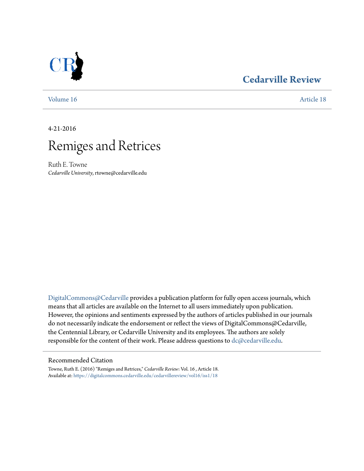## **[Cedarville Review](https://digitalcommons.cedarville.edu/cedarvillereview?utm_source=digitalcommons.cedarville.edu%2Fcedarvillereview%2Fvol16%2Fiss1%2F18&utm_medium=PDF&utm_campaign=PDFCoverPages)**

[Volume 16](https://digitalcommons.cedarville.edu/cedarvillereview/vol16?utm_source=digitalcommons.cedarville.edu%2Fcedarvillereview%2Fvol16%2Fiss1%2F18&utm_medium=PDF&utm_campaign=PDFCoverPages) [Article 18](https://digitalcommons.cedarville.edu/cedarvillereview/vol16/iss1/18?utm_source=digitalcommons.cedarville.edu%2Fcedarvillereview%2Fvol16%2Fiss1%2F18&utm_medium=PDF&utm_campaign=PDFCoverPages)

4-21-2016



Ruth E. Towne *Cedarville University*, rtowne@cedarville.edu

[DigitalCommons@Cedarville](http://digitalcommons.cedarville.edu) provides a publication platform for fully open access journals, which means that all articles are available on the Internet to all users immediately upon publication. However, the opinions and sentiments expressed by the authors of articles published in our journals do not necessarily indicate the endorsement or reflect the views of DigitalCommons@Cedarville, the Centennial Library, or Cedarville University and its employees. The authors are solely responsible for the content of their work. Please address questions to [dc@cedarville.edu](mailto:dc@cedarville.edu).

### Recommended Citation

Towne, Ruth E. (2016) "Remiges and Retrices," *Cedarville Review*: Vol. 16 , Article 18. Available at: [https://digitalcommons.cedarville.edu/cedarvillereview/vol16/iss1/18](https://digitalcommons.cedarville.edu/cedarvillereview/vol16/iss1/18?utm_source=digitalcommons.cedarville.edu%2Fcedarvillereview%2Fvol16%2Fiss1%2F18&utm_medium=PDF&utm_campaign=PDFCoverPages)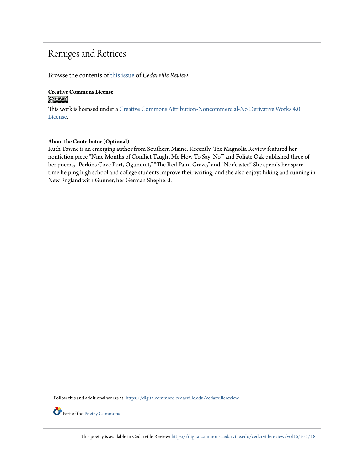## Remiges and Retrices

Browse the contents of [this issue](https://digitalcommons.cedarville.edu/cedarvillereview/vol16/iss1) of *Cedarville Review*.

# **Creative Commons License**

This work is licensed under a [Creative Commons Attribution-Noncommercial-No Derivative Works 4.0](http://creativecommons.org/licenses/by-nc-nd/4.0/) [License.](http://creativecommons.org/licenses/by-nc-nd/4.0/)

### **About the Contributor (Optional)**

Ruth Towne is an emerging author from Southern Maine. Recently, The Magnolia Review featured her nonfiction piece "Nine Months of Conflict Taught Me How To Say 'No'" and Foliate Oak published three of her poems, "Perkins Cove Port, Ogunquit," "The Red Paint Grave," and "Nor'easter." She spends her spare time helping high school and college students improve their writing, and she also enjoys hiking and running in New England with Gunner, her German Shepherd.

Follow this and additional works at: [https://digitalcommons.cedarville.edu/cedarvillereview](https://digitalcommons.cedarville.edu/cedarvillereview?utm_source=digitalcommons.cedarville.edu%2Fcedarvillereview%2Fvol16%2Fiss1%2F18&utm_medium=PDF&utm_campaign=PDFCoverPages)



Part of the [Poetry Commons](http://network.bepress.com/hgg/discipline/1153?utm_source=digitalcommons.cedarville.edu%2Fcedarvillereview%2Fvol16%2Fiss1%2F18&utm_medium=PDF&utm_campaign=PDFCoverPages)

This poetry is available in Cedarville Review: [https://digitalcommons.cedarville.edu/cedarvillereview/vol16/iss1/18](https://digitalcommons.cedarville.edu/cedarvillereview/vol16/iss1/18?utm_source=digitalcommons.cedarville.edu%2Fcedarvillereview%2Fvol16%2Fiss1%2F18&utm_medium=PDF&utm_campaign=PDFCoverPages)